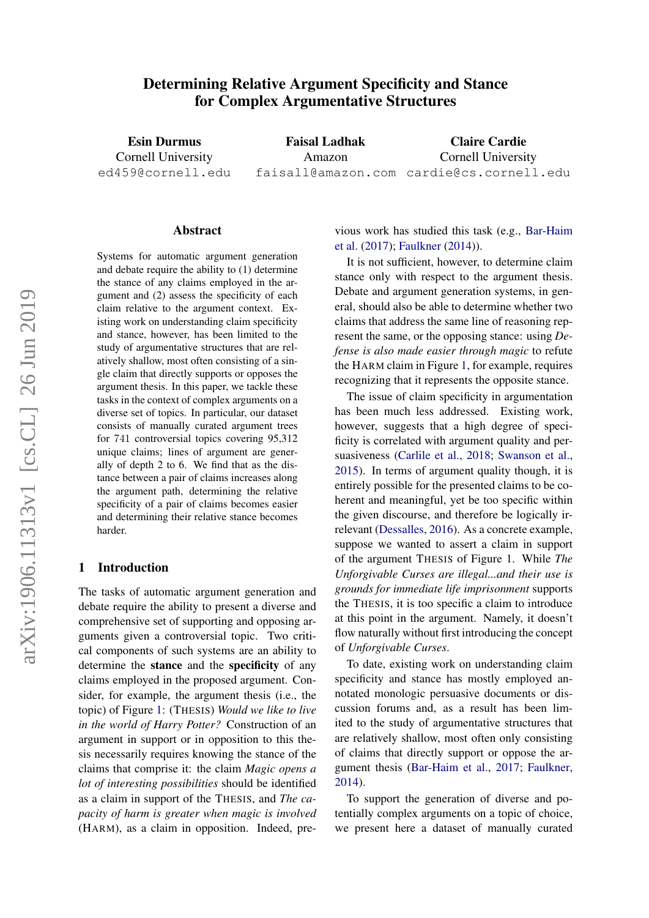# Determining Relative Argument Specificity and Stance for Complex Argumentative Structures

Esin Durmus Cornell University ed459@cornell.edu

Faisal Ladhak Amazon faisall@amazon.com cardie@cs.cornell.edu Claire Cardie Cornell University

#### Abstract

Systems for automatic argument generation and debate require the ability to (1) determine the stance of any claims employed in the argument and (2) assess the specificity of each claim relative to the argument context. Existing work on understanding claim specificity and stance, however, has been limited to the study of argumentative structures that are relatively shallow, most often consisting of a single claim that directly supports or opposes the argument thesis. In this paper, we tackle these tasks in the context of complex arguments on a diverse set of topics. In particular, our dataset consists of manually curated argument trees for 741 controversial topics covering 95,312 unique claims; lines of argument are generally of depth 2 to 6. We find that as the distance between a pair of claims increases along the argument path, determining the relative specificity of a pair of claims becomes easier and determining their relative stance becomes harder.

#### 1 Introduction

The tasks of automatic argument generation and debate require the ability to present a diverse and comprehensive set of supporting and opposing arguments given a controversial topic. Two critical components of such systems are an ability to determine the stance and the specificity of any claims employed in the proposed argument. Consider, for example, the argument thesis (i.e., the topic) of Figure [1:](#page-1-0) (THESIS) *Would we like to live in the world of Harry Potter?* Construction of an argument in support or in opposition to this thesis necessarily requires knowing the stance of the claims that comprise it: the claim *Magic opens a lot of interesting possibilities* should be identified as a claim in support of the THESIS, and *The capacity of harm is greater when magic is involved* (HARM), as a claim in opposition. Indeed, previous work has studied this task (e.g., [Bar-Haim](#page-8-0) [et al.](#page-8-0) [\(2017\)](#page-8-0); [Faulkner](#page-9-0) [\(2014\)](#page-9-0)).

It is not sufficient, however, to determine claim stance only with respect to the argument thesis. Debate and argument generation systems, in general, should also be able to determine whether two claims that address the same line of reasoning represent the same, or the opposing stance: using *Defense is also made easier through magic* to refute the HARM claim in Figure [1,](#page-1-0) for example, requires recognizing that it represents the opposite stance.

The issue of claim specificity in argumentation has been much less addressed. Existing work, however, suggests that a high degree of specificity is correlated with argument quality and persuasiveness [\(Carlile et al.,](#page-8-1) [2018;](#page-8-1) [Swanson et al.,](#page-10-0) [2015\)](#page-10-0). In terms of argument quality though, it is entirely possible for the presented claims to be coherent and meaningful, yet be too specific within the given discourse, and therefore be logically irrelevant [\(Dessalles,](#page-8-2) [2016\)](#page-8-2). As a concrete example, suppose we wanted to assert a claim in support of the argument THESIS of Figure 1. While *The Unforgivable Curses are illegal...and their use is grounds for immediate life imprisonment* supports the THESIS, it is too specific a claim to introduce at this point in the argument. Namely, it doesn't flow naturally without first introducing the concept of *Unforgivable Curses*.

To date, existing work on understanding claim specificity and stance has mostly employed annotated monologic persuasive documents or discussion forums and, as a result has been limited to the study of argumentative structures that are relatively shallow, most often only consisting of claims that directly support or oppose the argument thesis [\(Bar-Haim et al.,](#page-8-0) [2017;](#page-8-0) [Faulkner,](#page-9-0) [2014\)](#page-9-0).

To support the generation of diverse and potentially complex arguments on a topic of choice, we present here a dataset of manually curated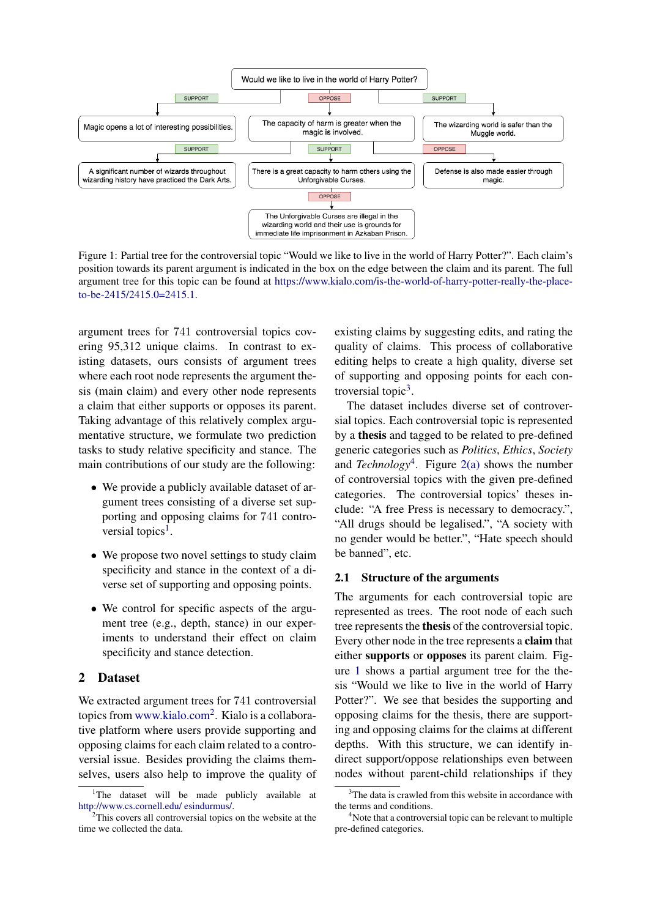<span id="page-1-0"></span>

Figure 1: Partial tree for the controversial topic "Would we like to live in the world of Harry Potter?". Each claim's position towards its parent argument is indicated in the box on the edge between the claim and its parent. The full argument tree for this topic can be found at [https://www.kialo.com/is-the-world-of-harry-potter-really-the-place](https://www.kialo.com/is-the-world-of-harry-potter-really-the-place-to-be-2415/2415.0=2415.1)[to-be-2415/2415.0=2415.1.](https://www.kialo.com/is-the-world-of-harry-potter-really-the-place-to-be-2415/2415.0=2415.1)

argument trees for 741 controversial topics covering 95,312 unique claims. In contrast to existing datasets, ours consists of argument trees where each root node represents the argument thesis (main claim) and every other node represents a claim that either supports or opposes its parent. Taking advantage of this relatively complex argumentative structure, we formulate two prediction tasks to study relative specificity and stance. The main contributions of our study are the following:

- We provide a publicly available dataset of argument trees consisting of a diverse set supporting and opposing claims for 741 contro-versial topics<sup>[1](#page-1-1)</sup>.
- We propose two novel settings to study claim specificity and stance in the context of a diverse set of supporting and opposing points.
- We control for specific aspects of the argument tree (e.g., depth, stance) in our experiments to understand their effect on claim specificity and stance detection.

## 2 Dataset

We extracted argument trees for 741 controversial topics from <www.kialo.com><sup>[2](#page-1-2)</sup>. Kialo is a collaborative platform where users provide supporting and opposing claims for each claim related to a controversial issue. Besides providing the claims themselves, users also help to improve the quality of existing claims by suggesting edits, and rating the quality of claims. This process of collaborative editing helps to create a high quality, diverse set of supporting and opposing points for each controversial topic $3$ .

The dataset includes diverse set of controversial topics. Each controversial topic is represented by a thesis and tagged to be related to pre-defined generic categories such as *Politics*, *Ethics*, *Society* and *Technology*[4](#page-1-4) . Figure [2\(a\)](#page-2-0) shows the number of controversial topics with the given pre-defined categories. The controversial topics' theses include: "A free Press is necessary to democracy.", "All drugs should be legalised.", "A society with no gender would be better.", "Hate speech should be banned", etc.

## 2.1 Structure of the arguments

The arguments for each controversial topic are represented as trees. The root node of each such tree represents the thesis of the controversial topic. Every other node in the tree represents a claim that either supports or opposes its parent claim. Figure [1](#page-1-0) shows a partial argument tree for the thesis "Would we like to live in the world of Harry Potter?". We see that besides the supporting and opposing claims for the thesis, there are supporting and opposing claims for the claims at different depths. With this structure, we can identify indirect support/oppose relationships even between nodes without parent-child relationships if they

<span id="page-1-1"></span><sup>&</sup>lt;sup>1</sup>The dataset will be made publicly available at [http://www.cs.cornell.edu/ esindurmus/.](http://www.cs.cornell.edu/~esindurmus/)

<span id="page-1-2"></span> $2$ This covers all controversial topics on the website at the time we collected the data.

<span id="page-1-3"></span><sup>&</sup>lt;sup>3</sup>The data is crawled from this website in accordance with the terms and conditions.

<span id="page-1-4"></span><sup>&</sup>lt;sup>4</sup>Note that a controversial topic can be relevant to multiple pre-defined categories.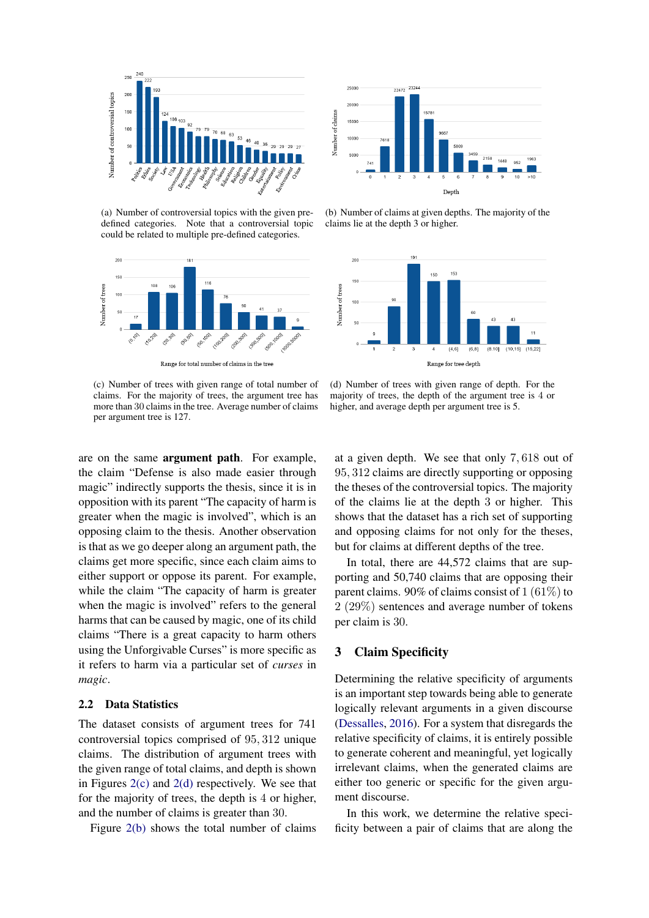<span id="page-2-0"></span>

(a) Number of controversial topics with the given predefined categories. Note that a controversial topic could be related to multiple pre-defined categories.



Range for total number of claims in the tree

<span id="page-2-1"></span>(c) Number of trees with given range of total number of claims. For the majority of trees, the argument tree has more than 30 claims in the tree. Average number of claims per argument tree is 127.



<span id="page-2-3"></span>(b) Number of claims at given depths. The majority of the claims lie at the depth 3 or higher.



<span id="page-2-2"></span>(d) Number of trees with given range of depth. For the majority of trees, the depth of the argument tree is 4 or higher, and average depth per argument tree is 5.

are on the same argument path. For example, the claim "Defense is also made easier through magic" indirectly supports the thesis, since it is in opposition with its parent "The capacity of harm is greater when the magic is involved", which is an opposing claim to the thesis. Another observation is that as we go deeper along an argument path, the claims get more specific, since each claim aims to either support or oppose its parent. For example, while the claim "The capacity of harm is greater when the magic is involved" refers to the general harms that can be caused by magic, one of its child claims "There is a great capacity to harm others using the Unforgivable Curses" is more specific as it refers to harm via a particular set of *curses* in *magic*.

### 2.2 Data Statistics

The dataset consists of argument trees for 741 controversial topics comprised of 95, 312 unique claims. The distribution of argument trees with the given range of total claims, and depth is shown in Figures [2\(c\)](#page-2-1) and [2\(d\)](#page-2-2) respectively. We see that for the majority of trees, the depth is 4 or higher, and the number of claims is greater than 30.

Figure [2\(b\)](#page-2-3) shows the total number of claims

at a given depth. We see that only 7, 618 out of 95, 312 claims are directly supporting or opposing the theses of the controversial topics. The majority of the claims lie at the depth 3 or higher. This shows that the dataset has a rich set of supporting and opposing claims for not only for the theses, but for claims at different depths of the tree.

In total, there are 44,572 claims that are supporting and 50,740 claims that are opposing their parent claims. 90% of claims consist of 1 (61%) to 2 (29%) sentences and average number of tokens per claim is 30.

## 3 Claim Specificity

Determining the relative specificity of arguments is an important step towards being able to generate logically relevant arguments in a given discourse [\(Dessalles,](#page-8-2) [2016\)](#page-8-2). For a system that disregards the relative specificity of claims, it is entirely possible to generate coherent and meaningful, yet logically irrelevant claims, when the generated claims are either too generic or specific for the given argument discourse.

In this work, we determine the relative specificity between a pair of claims that are along the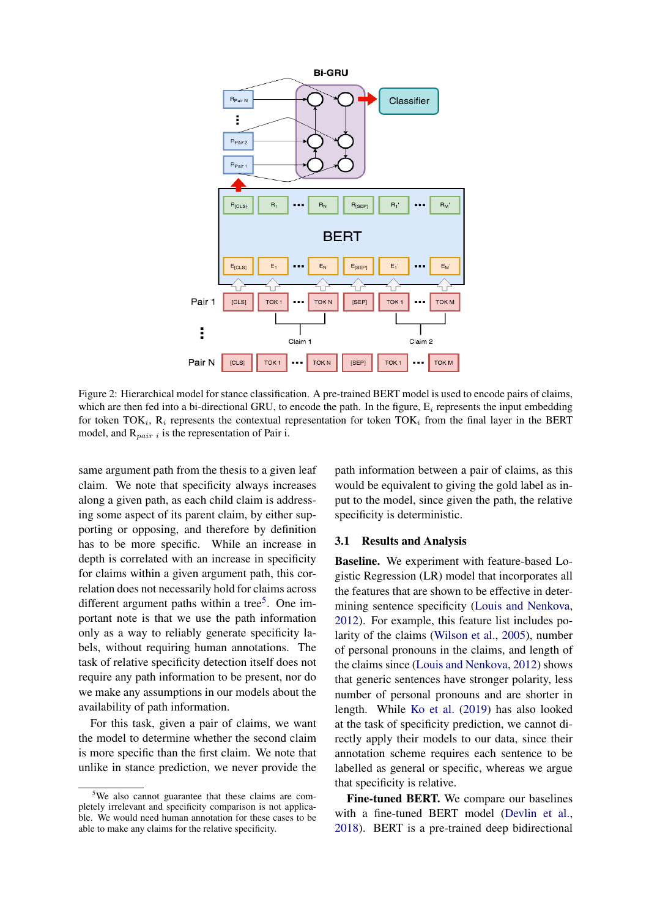<span id="page-3-1"></span>

Figure 2: Hierarchical model for stance classification. A pre-trained BERT model is used to encode pairs of claims, which are then fed into a bi-directional GRU, to encode the path. In the figure,  $E_i$  represents the input embedding for token TOK<sub>i</sub>,  $R_i$  represents the contextual representation for token TOK<sub>i</sub> from the final layer in the BERT model, and  $R_{pair i}$  is the representation of Pair i.

same argument path from the thesis to a given leaf claim. We note that specificity always increases along a given path, as each child claim is addressing some aspect of its parent claim, by either supporting or opposing, and therefore by definition has to be more specific. While an increase in depth is correlated with an increase in specificity for claims within a given argument path, this correlation does not necessarily hold for claims across different argument paths within a tree<sup>[5](#page-3-0)</sup>. One important note is that we use the path information only as a way to reliably generate specificity labels, without requiring human annotations. The task of relative specificity detection itself does not require any path information to be present, nor do we make any assumptions in our models about the availability of path information.

For this task, given a pair of claims, we want the model to determine whether the second claim is more specific than the first claim. We note that unlike in stance prediction, we never provide the

path information between a pair of claims, as this would be equivalent to giving the gold label as input to the model, since given the path, the relative specificity is deterministic.

#### <span id="page-3-2"></span>3.1 Results and Analysis

Baseline. We experiment with feature-based Logistic Regression (LR) model that incorporates all the features that are shown to be effective in determining sentence specificity [\(Louis and Nenkova,](#page-9-1) [2012\)](#page-9-1). For example, this feature list includes polarity of the claims [\(Wilson et al.,](#page-11-0) [2005\)](#page-11-0), number of personal pronouns in the claims, and length of the claims since [\(Louis and Nenkova,](#page-9-1) [2012\)](#page-9-1) shows that generic sentences have stronger polarity, less number of personal pronouns and are shorter in length. While [Ko et al.](#page-9-2) [\(2019\)](#page-9-2) has also looked at the task of specificity prediction, we cannot directly apply their models to our data, since their annotation scheme requires each sentence to be labelled as general or specific, whereas we argue that specificity is relative.

Fine-tuned BERT. We compare our baselines with a fine-tuned BERT model [\(Devlin et al.,](#page-8-3) [2018\)](#page-8-3). BERT is a pre-trained deep bidirectional

<span id="page-3-0"></span><sup>5</sup>We also cannot guarantee that these claims are completely irrelevant and specificity comparison is not applicable. We would need human annotation for these cases to be able to make any claims for the relative specificity.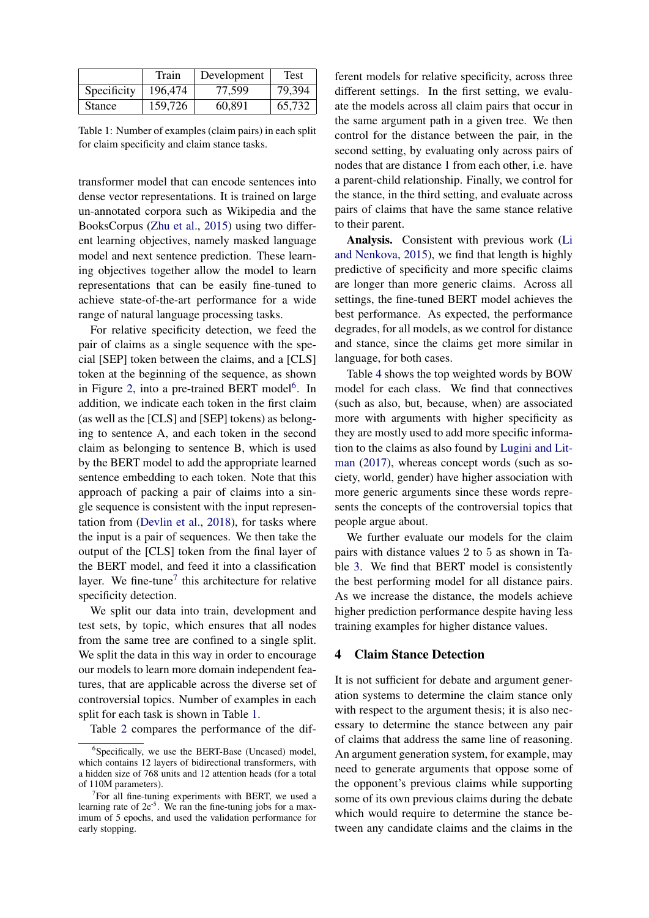<span id="page-4-2"></span>

|               | Train   | Development | Test   |
|---------------|---------|-------------|--------|
| Specificity   | 196,474 | 77.599      | 79,394 |
| <b>Stance</b> | 159,726 | 60,891      | 65,732 |

Table 1: Number of examples (claim pairs) in each split for claim specificity and claim stance tasks.

transformer model that can encode sentences into dense vector representations. It is trained on large un-annotated corpora such as Wikipedia and the BooksCorpus [\(Zhu et al.,](#page-11-1) [2015\)](#page-11-1) using two different learning objectives, namely masked language model and next sentence prediction. These learning objectives together allow the model to learn representations that can be easily fine-tuned to achieve state-of-the-art performance for a wide range of natural language processing tasks.

For relative specificity detection, we feed the pair of claims as a single sequence with the special [SEP] token between the claims, and a [CLS] token at the beginning of the sequence, as shown in Figure [2,](#page-3-1) into a pre-trained BERT model<sup>[6](#page-4-0)</sup>. In addition, we indicate each token in the first claim (as well as the [CLS] and [SEP] tokens) as belonging to sentence A, and each token in the second claim as belonging to sentence B, which is used by the BERT model to add the appropriate learned sentence embedding to each token. Note that this approach of packing a pair of claims into a single sequence is consistent with the input representation from [\(Devlin et al.,](#page-8-3) [2018\)](#page-8-3), for tasks where the input is a pair of sequences. We then take the output of the [CLS] token from the final layer of the BERT model, and feed it into a classification layer. We fine-tune<sup>[7](#page-4-1)</sup> this architecture for relative specificity detection.

We split our data into train, development and test sets, by topic, which ensures that all nodes from the same tree are confined to a single split. We split the data in this way in order to encourage our models to learn more domain independent features, that are applicable across the diverse set of controversial topics. Number of examples in each split for each task is shown in Table [1.](#page-4-2)

Table [2](#page-5-0) compares the performance of the dif-

ferent models for relative specificity, across three different settings. In the first setting, we evaluate the models across all claim pairs that occur in the same argument path in a given tree. We then control for the distance between the pair, in the second setting, by evaluating only across pairs of nodes that are distance 1 from each other, i.e. have a parent-child relationship. Finally, we control for the stance, in the third setting, and evaluate across pairs of claims that have the same stance relative to their parent.

Analysis. Consistent with previous work [\(Li](#page-9-3) [and Nenkova,](#page-9-3) [2015\)](#page-9-3), we find that length is highly predictive of specificity and more specific claims are longer than more generic claims. Across all settings, the fine-tuned BERT model achieves the best performance. As expected, the performance degrades, for all models, as we control for distance and stance, since the claims get more similar in language, for both cases.

Table [4](#page-5-1) shows the top weighted words by BOW model for each class. We find that connectives (such as also, but, because, when) are associated more with arguments with higher specificity as they are mostly used to add more specific information to the claims as also found by [Lugini and Lit](#page-9-4)[man](#page-9-4) [\(2017\)](#page-9-4), whereas concept words (such as society, world, gender) have higher association with more generic arguments since these words represents the concepts of the controversial topics that people argue about.

We further evaluate our models for the claim pairs with distance values 2 to 5 as shown in Table [3.](#page-5-2) We find that BERT model is consistently the best performing model for all distance pairs. As we increase the distance, the models achieve higher prediction performance despite having less training examples for higher distance values.

#### 4 Claim Stance Detection

It is not sufficient for debate and argument generation systems to determine the claim stance only with respect to the argument thesis; it is also necessary to determine the stance between any pair of claims that address the same line of reasoning. An argument generation system, for example, may need to generate arguments that oppose some of the opponent's previous claims while supporting some of its own previous claims during the debate which would require to determine the stance between any candidate claims and the claims in the

<span id="page-4-0"></span><sup>6</sup> Specifically, we use the BERT-Base (Uncased) model, which contains 12 layers of bidirectional transformers, with a hidden size of 768 units and 12 attention heads (for a total of 110M parameters).

<span id="page-4-1"></span><sup>&</sup>lt;sup>7</sup>For all fine-tuning experiments with BERT, we used a learning rate of  $2e^{-5}$ . We ran the fine-tuning jobs for a maximum of 5 epochs, and used the validation performance for early stopping.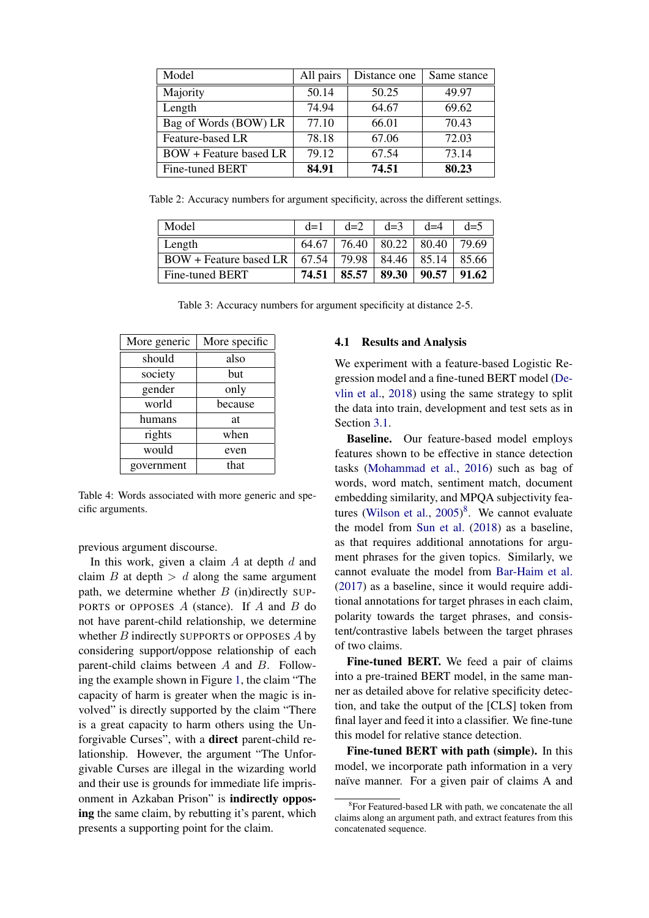<span id="page-5-0"></span>

| Model                         | All pairs | Distance one | Same stance |
|-------------------------------|-----------|--------------|-------------|
| Majority                      | 50.14     | 50.25        | 49.97       |
| Length                        | 74.94     | 64.67        | 69.62       |
| Bag of Words (BOW) LR         | 77.10     | 66.01        | 70.43       |
| Feature-based LR              | 78.18     | 67.06        | 72.03       |
| <b>BOW</b> + Feature based LR | 79.12     | 67.54        | 73.14       |
| Fine-tuned BERT               | 84.91     | 74.51        | 80.23       |

<span id="page-5-2"></span>Table 2: Accuracy numbers for argument specificity, across the different settings.

| Model                               | $d=1$ | $d=2$ | $d=3$              | $d=4$ | $d=5$ |
|-------------------------------------|-------|-------|--------------------|-------|-------|
| Length                              | 64.67 | 76.40 | $80.22 \div 80.40$ |       | 79.69 |
| $BOW + Feature based LR \mid 67.54$ |       | 79.98 | $84.46 \div 85.14$ |       | 85.66 |
| Fine-tuned BERT                     | 74.51 | 85.57 | 89.30              | 90.57 | 91.62 |

Table 3: Accuracy numbers for argument specificity at distance 2-5.

<span id="page-5-1"></span>

| More generic | More specific |  |  |
|--------------|---------------|--|--|
| should       | also          |  |  |
| society      | but           |  |  |
| gender       | only          |  |  |
| world        | because       |  |  |
| humans       | at            |  |  |
| rights       | when          |  |  |
| would        | even          |  |  |
| government   | that          |  |  |

Table 4: Words associated with more generic and specific arguments.

previous argument discourse.

In this work, given a claim  $A$  at depth  $d$  and claim  $B$  at depth  $> d$  along the same argument path, we determine whether  $B$  (in)directly SUP-PORTS or OPPOSES  $A$  (stance). If  $A$  and  $B$  do not have parent-child relationship, we determine whether  $B$  indirectly SUPPORTS or OPPOSES  $A$  by considering support/oppose relationship of each parent-child claims between A and B. Following the example shown in Figure [1,](#page-1-0) the claim "The capacity of harm is greater when the magic is involved" is directly supported by the claim "There is a great capacity to harm others using the Unforgivable Curses", with a direct parent-child relationship. However, the argument "The Unforgivable Curses are illegal in the wizarding world and their use is grounds for immediate life imprisonment in Azkaban Prison" is indirectly opposing the same claim, by rebutting it's parent, which presents a supporting point for the claim.

## 4.1 Results and Analysis

We experiment with a feature-based Logistic Regression model and a fine-tuned BERT model [\(De](#page-8-3)[vlin et al.,](#page-8-3) [2018\)](#page-8-3) using the same strategy to split the data into train, development and test sets as in Section [3.1.](#page-3-2)

Baseline. Our feature-based model employs features shown to be effective in stance detection tasks [\(Mohammad et al.,](#page-9-5) [2016\)](#page-9-5) such as bag of words, word match, sentiment match, document embedding similarity, and MPQA subjectivity fea-tures [\(Wilson et al.,](#page-11-0)  $2005)^8$  $2005)^8$  $2005)^8$ . We cannot evaluate the model from [Sun et al.](#page-10-1) [\(2018\)](#page-10-1) as a baseline, as that requires additional annotations for argument phrases for the given topics. Similarly, we cannot evaluate the model from [Bar-Haim et al.](#page-8-0) [\(2017\)](#page-8-0) as a baseline, since it would require additional annotations for target phrases in each claim, polarity towards the target phrases, and consistent/contrastive labels between the target phrases of two claims.

Fine-tuned BERT. We feed a pair of claims into a pre-trained BERT model, in the same manner as detailed above for relative specificity detection, and take the output of the [CLS] token from final layer and feed it into a classifier. We fine-tune this model for relative stance detection.

Fine-tuned BERT with path (simple). In this model, we incorporate path information in a very naïve manner. For a given pair of claims A and

<span id="page-5-3"></span><sup>&</sup>lt;sup>8</sup> For Featured-based LR with path, we concatenate the all claims along an argument path, and extract features from this concatenated sequence.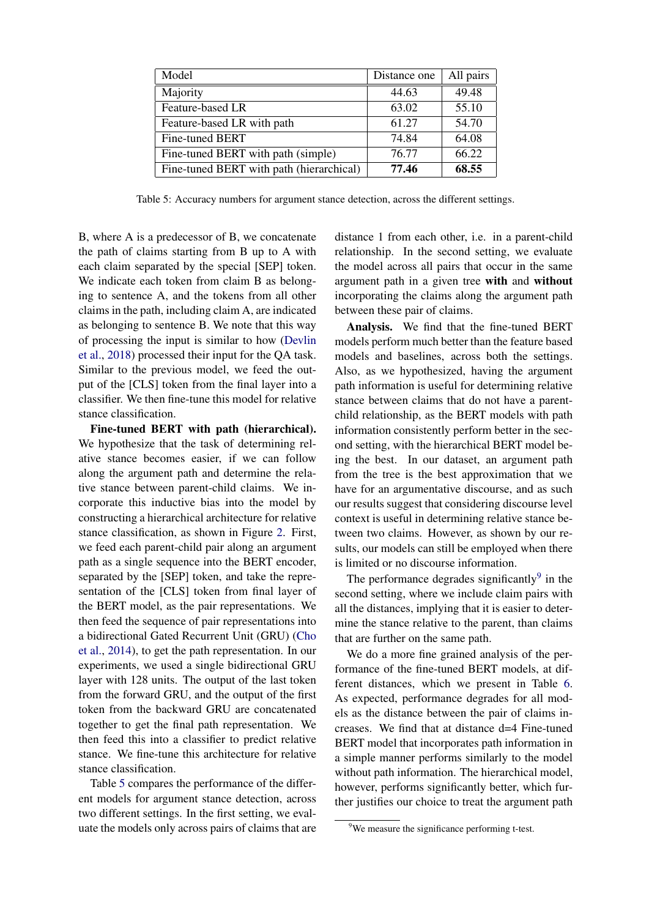<span id="page-6-0"></span>

| Model                                    | Distance one | All pairs |
|------------------------------------------|--------------|-----------|
| Majority                                 | 44.63        | 49.48     |
| Feature-based LR                         | 63.02        | 55.10     |
| Feature-based LR with path               | 61.27        | 54.70     |
| Fine-tuned BERT                          | 74.84        | 64.08     |
| Fine-tuned BERT with path (simple)       | 76.77        | 66.22     |
| Fine-tuned BERT with path (hierarchical) | 77.46        | 68.55     |

Table 5: Accuracy numbers for argument stance detection, across the different settings.

B, where A is a predecessor of B, we concatenate the path of claims starting from B up to A with each claim separated by the special [SEP] token. We indicate each token from claim B as belonging to sentence A, and the tokens from all other claims in the path, including claim A, are indicated as belonging to sentence B. We note that this way of processing the input is similar to how [\(Devlin](#page-8-3) [et al.,](#page-8-3) [2018\)](#page-8-3) processed their input for the QA task. Similar to the previous model, we feed the output of the [CLS] token from the final layer into a classifier. We then fine-tune this model for relative stance classification.

Fine-tuned BERT with path (hierarchical). We hypothesize that the task of determining relative stance becomes easier, if we can follow along the argument path and determine the relative stance between parent-child claims. We incorporate this inductive bias into the model by constructing a hierarchical architecture for relative stance classification, as shown in Figure [2.](#page-3-1) First, we feed each parent-child pair along an argument path as a single sequence into the BERT encoder, separated by the [SEP] token, and take the representation of the [CLS] token from final layer of the BERT model, as the pair representations. We then feed the sequence of pair representations into a bidirectional Gated Recurrent Unit (GRU) [\(Cho](#page-8-4) [et al.,](#page-8-4) [2014\)](#page-8-4), to get the path representation. In our experiments, we used a single bidirectional GRU layer with 128 units. The output of the last token from the forward GRU, and the output of the first token from the backward GRU are concatenated together to get the final path representation. We then feed this into a classifier to predict relative stance. We fine-tune this architecture for relative stance classification.

Table [5](#page-6-0) compares the performance of the different models for argument stance detection, across two different settings. In the first setting, we evaluate the models only across pairs of claims that are

distance 1 from each other, i.e. in a parent-child relationship. In the second setting, we evaluate the model across all pairs that occur in the same argument path in a given tree with and without incorporating the claims along the argument path between these pair of claims.

Analysis. We find that the fine-tuned BERT models perform much better than the feature based models and baselines, across both the settings. Also, as we hypothesized, having the argument path information is useful for determining relative stance between claims that do not have a parentchild relationship, as the BERT models with path information consistently perform better in the second setting, with the hierarchical BERT model being the best. In our dataset, an argument path from the tree is the best approximation that we have for an argumentative discourse, and as such our results suggest that considering discourse level context is useful in determining relative stance between two claims. However, as shown by our results, our models can still be employed when there is limited or no discourse information.

The performance degrades significantly $9$  in the second setting, where we include claim pairs with all the distances, implying that it is easier to determine the stance relative to the parent, than claims that are further on the same path.

We do a more fine grained analysis of the performance of the fine-tuned BERT models, at different distances, which we present in Table [6.](#page-7-0) As expected, performance degrades for all models as the distance between the pair of claims increases. We find that at distance d=4 Fine-tuned BERT model that incorporates path information in a simple manner performs similarly to the model without path information. The hierarchical model, however, performs significantly better, which further justifies our choice to treat the argument path

<span id="page-6-1"></span><sup>&</sup>lt;sup>9</sup>We measure the significance performing t-test.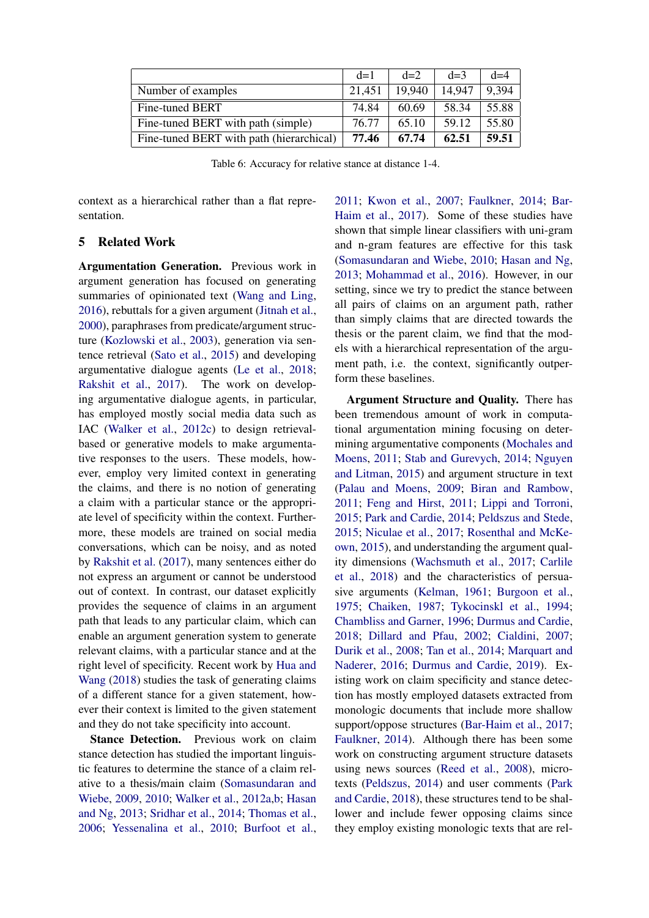<span id="page-7-0"></span>

|                                          | $d=1$  | $d=2$  | $d=3$  | $d=4$ |
|------------------------------------------|--------|--------|--------|-------|
| Number of examples                       | 21,451 | 19.940 | 14.947 | 9.394 |
| Fine-tuned BERT                          | 74.84  | 60.69  | 58.34  | 55.88 |
| Fine-tuned BERT with path (simple)       | 76.77  | 65.10  | 59.12  | 55.80 |
| Fine-tuned BERT with path (hierarchical) | 77.46  | 67.74  | 62.51  | 59.51 |

Table 6: Accuracy for relative stance at distance 1-4.

context as a hierarchical rather than a flat representation.

## 5 Related Work

Argumentation Generation. Previous work in argument generation has focused on generating summaries of opinionated text [\(Wang and Ling,](#page-10-2) [2016\)](#page-10-2), rebuttals for a given argument [\(Jitnah et al.,](#page-9-6) [2000\)](#page-9-6), paraphrases from predicate/argument structure [\(Kozlowski et al.,](#page-9-7) [2003\)](#page-9-7), generation via sentence retrieval [\(Sato et al.,](#page-10-3) [2015\)](#page-10-3) and developing argumentative dialogue agents [\(Le et al.,](#page-9-8) [2018;](#page-9-8) [Rakshit et al.,](#page-10-4) [2017\)](#page-10-4). The work on developing argumentative dialogue agents, in particular, has employed mostly social media data such as IAC [\(Walker et al.,](#page-10-5) [2012c\)](#page-10-5) to design retrievalbased or generative models to make argumentative responses to the users. These models, however, employ very limited context in generating the claims, and there is no notion of generating a claim with a particular stance or the appropriate level of specificity within the context. Furthermore, these models are trained on social media conversations, which can be noisy, and as noted by [Rakshit et al.](#page-10-4) [\(2017\)](#page-10-4), many sentences either do not express an argument or cannot be understood out of context. In contrast, our dataset explicitly provides the sequence of claims in an argument path that leads to any particular claim, which can enable an argument generation system to generate relevant claims, with a particular stance and at the right level of specificity. Recent work by [Hua and](#page-9-9) [Wang](#page-9-9) [\(2018\)](#page-9-9) studies the task of generating claims of a different stance for a given statement, however their context is limited to the given statement and they do not take specificity into account.

Stance Detection. Previous work on claim stance detection has studied the important linguistic features to determine the stance of a claim relative to a thesis/main claim [\(Somasundaran and](#page-10-6) [Wiebe,](#page-10-6) [2009,](#page-10-6) [2010;](#page-10-7) [Walker et al.,](#page-10-8) [2012a,](#page-10-8)[b;](#page-10-9) [Hasan](#page-9-10) [and Ng,](#page-9-10) [2013;](#page-9-10) [Sridhar et al.,](#page-10-10) [2014;](#page-10-10) [Thomas et al.,](#page-10-11) [2006;](#page-10-11) [Yessenalina et al.,](#page-11-2) [2010;](#page-11-2) [Burfoot et al.,](#page-8-5)

[2011;](#page-8-5) [Kwon et al.,](#page-9-11) [2007;](#page-9-11) [Faulkner,](#page-9-0) [2014;](#page-9-0) [Bar-](#page-8-0)[Haim et al.,](#page-8-0) [2017\)](#page-8-0). Some of these studies have shown that simple linear classifiers with uni-gram and n-gram features are effective for this task [\(Somasundaran and Wiebe,](#page-10-7) [2010;](#page-10-7) [Hasan and Ng,](#page-9-10) [2013;](#page-9-10) [Mohammad et al.,](#page-9-5) [2016\)](#page-9-5). However, in our setting, since we try to predict the stance between all pairs of claims on an argument path, rather than simply claims that are directed towards the thesis or the parent claim, we find that the models with a hierarchical representation of the argument path, i.e. the context, significantly outperform these baselines.

Argument Structure and Quality. There has been tremendous amount of work in computational argumentation mining focusing on determining argumentative components [\(Mochales and](#page-9-12) [Moens,](#page-9-12) [2011;](#page-9-12) [Stab and Gurevych,](#page-10-12) [2014;](#page-10-12) [Nguyen](#page-9-13) [and Litman,](#page-9-13) [2015\)](#page-9-13) and argument structure in text [\(Palau and Moens,](#page-9-14) [2009;](#page-9-14) [Biran and Rambow,](#page-8-6) [2011;](#page-8-6) [Feng and Hirst,](#page-9-15) [2011;](#page-9-15) [Lippi and Torroni,](#page-9-16) [2015;](#page-9-16) [Park and Cardie,](#page-9-17) [2014;](#page-9-17) [Peldszus and Stede,](#page-10-13) [2015;](#page-10-13) [Niculae et al.,](#page-9-18) [2017;](#page-9-18) [Rosenthal and McKe](#page-10-14)[own,](#page-10-14) [2015\)](#page-10-14), and understanding the argument quality dimensions [\(Wachsmuth et al.,](#page-10-15) [2017;](#page-10-15) [Carlile](#page-8-1) [et al.,](#page-8-1) [2018\)](#page-8-1) and the characteristics of persuasive arguments [\(Kelman,](#page-9-19) [1961;](#page-9-19) [Burgoon et al.,](#page-8-7) [1975;](#page-8-7) [Chaiken,](#page-8-8) [1987;](#page-8-8) [Tykocinskl et al.,](#page-10-16) [1994;](#page-10-16) [Chambliss and Garner,](#page-8-9) [1996;](#page-8-9) [Durmus and Cardie,](#page-8-10) [2018;](#page-8-10) [Dillard and Pfau,](#page-8-11) [2002;](#page-8-11) [Cialdini,](#page-8-12) [2007;](#page-8-12) [Durik et al.,](#page-8-13) [2008;](#page-8-13) [Tan et al.,](#page-10-17) [2014;](#page-10-17) [Marquart and](#page-9-20) [Naderer,](#page-9-20) [2016;](#page-9-20) [Durmus and Cardie,](#page-9-21) [2019\)](#page-9-21). Existing work on claim specificity and stance detection has mostly employed datasets extracted from monologic documents that include more shallow support/oppose structures [\(Bar-Haim et al.,](#page-8-0) [2017;](#page-8-0) [Faulkner,](#page-9-0) [2014\)](#page-9-0). Although there has been some work on constructing argument structure datasets using news sources [\(Reed et al.,](#page-10-18) [2008\)](#page-10-18), microtexts [\(Peldszus,](#page-10-19) [2014\)](#page-10-19) and user comments [\(Park](#page-9-22) [and Cardie,](#page-9-22) [2018\)](#page-9-22), these structures tend to be shallower and include fewer opposing claims since they employ existing monologic texts that are rel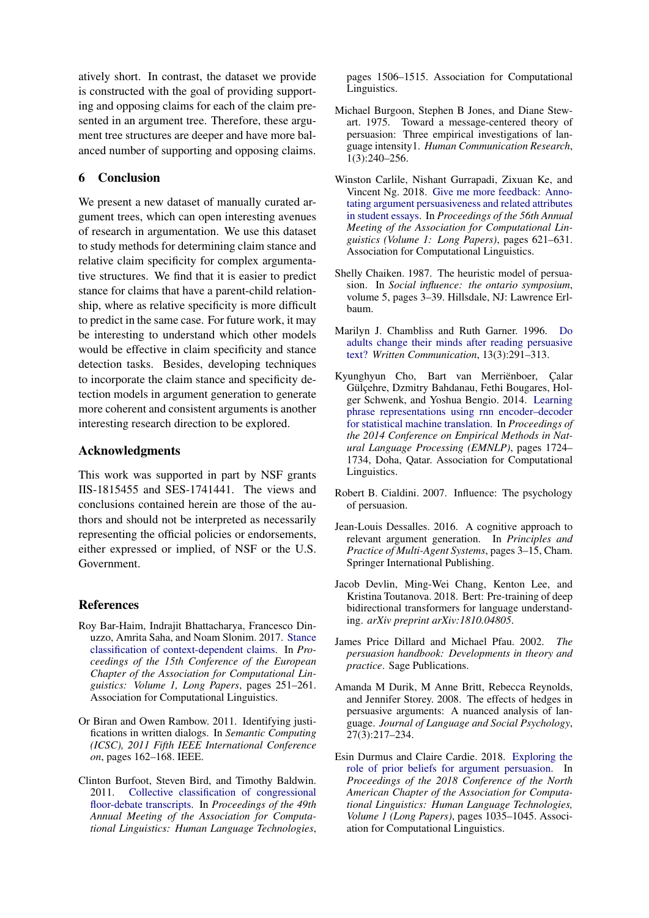atively short. In contrast, the dataset we provide is constructed with the goal of providing supporting and opposing claims for each of the claim presented in an argument tree. Therefore, these argument tree structures are deeper and have more balanced number of supporting and opposing claims.

## 6 Conclusion

We present a new dataset of manually curated argument trees, which can open interesting avenues of research in argumentation. We use this dataset to study methods for determining claim stance and relative claim specificity for complex argumentative structures. We find that it is easier to predict stance for claims that have a parent-child relationship, where as relative specificity is more difficult to predict in the same case. For future work, it may be interesting to understand which other models would be effective in claim specificity and stance detection tasks. Besides, developing techniques to incorporate the claim stance and specificity detection models in argument generation to generate more coherent and consistent arguments is another interesting research direction to be explored.

## Acknowledgments

This work was supported in part by NSF grants IIS-1815455 and SES-1741441. The views and conclusions contained herein are those of the authors and should not be interpreted as necessarily representing the official policies or endorsements, either expressed or implied, of NSF or the U.S. Government.

## References

- <span id="page-8-0"></span>Roy Bar-Haim, Indrajit Bhattacharya, Francesco Dinuzzo, Amrita Saha, and Noam Slonim. 2017. [Stance](http://aclweb.org/anthology/E17-1024) [classification of context-dependent claims.](http://aclweb.org/anthology/E17-1024) In *Proceedings of the 15th Conference of the European Chapter of the Association for Computational Linguistics: Volume 1, Long Papers*, pages 251–261. Association for Computational Linguistics.
- <span id="page-8-6"></span>Or Biran and Owen Rambow. 2011. Identifying justifications in written dialogs. In *Semantic Computing (ICSC), 2011 Fifth IEEE International Conference on*, pages 162–168. IEEE.
- <span id="page-8-5"></span>Clinton Burfoot, Steven Bird, and Timothy Baldwin. 2011. [Collective classification of congressional](http://aclweb.org/anthology/P11-1151) [floor-debate transcripts.](http://aclweb.org/anthology/P11-1151) In *Proceedings of the 49th Annual Meeting of the Association for Computational Linguistics: Human Language Technologies*,

pages 1506–1515. Association for Computational Linguistics.

- <span id="page-8-7"></span>Michael Burgoon, Stephen B Jones, and Diane Stewart. 1975. Toward a message-centered theory of persuasion: Three empirical investigations of language intensity1. *Human Communication Research*, 1(3):240–256.
- <span id="page-8-1"></span>Winston Carlile, Nishant Gurrapadi, Zixuan Ke, and Vincent Ng. 2018. [Give me more feedback: Anno](http://aclweb.org/anthology/P18-1058)[tating argument persuasiveness and related attributes](http://aclweb.org/anthology/P18-1058) [in student essays.](http://aclweb.org/anthology/P18-1058) In *Proceedings of the 56th Annual Meeting of the Association for Computational Linguistics (Volume 1: Long Papers)*, pages 621–631. Association for Computational Linguistics.
- <span id="page-8-8"></span>Shelly Chaiken. 1987. The heuristic model of persuasion. In *Social influence: the ontario symposium*, volume 5, pages 3–39. Hillsdale, NJ: Lawrence Erlbaum.
- <span id="page-8-9"></span>Marilyn J. Chambliss and Ruth Garner. 1996. [Do](https://doi.org/10.1177/0741088396013003001) [adults change their minds after reading persuasive](https://doi.org/10.1177/0741088396013003001) [text?](https://doi.org/10.1177/0741088396013003001) *Written Communication*, 13(3):291–313.
- <span id="page-8-4"></span>Kyunghyun Cho, Bart van Merriënboer, Calar Gülçehre, Dzmitry Bahdanau, Fethi Bougares, Holger Schwenk, and Yoshua Bengio. 2014. [Learning](http://www.aclweb.org/anthology/D14-1179) [phrase representations using rnn encoder–decoder](http://www.aclweb.org/anthology/D14-1179) [for statistical machine translation.](http://www.aclweb.org/anthology/D14-1179) In *Proceedings of the 2014 Conference on Empirical Methods in Natural Language Processing (EMNLP)*, pages 1724– 1734, Doha, Qatar. Association for Computational Linguistics.
- <span id="page-8-12"></span>Robert B. Cialdini. 2007. Influence: The psychology of persuasion.
- <span id="page-8-2"></span>Jean-Louis Dessalles. 2016. A cognitive approach to relevant argument generation. In *Principles and Practice of Multi-Agent Systems*, pages 3–15, Cham. Springer International Publishing.
- <span id="page-8-3"></span>Jacob Devlin, Ming-Wei Chang, Kenton Lee, and Kristina Toutanova. 2018. Bert: Pre-training of deep bidirectional transformers for language understanding. *arXiv preprint arXiv:1810.04805*.
- <span id="page-8-11"></span>James Price Dillard and Michael Pfau. 2002. *The persuasion handbook: Developments in theory and practice*. Sage Publications.
- <span id="page-8-13"></span>Amanda M Durik, M Anne Britt, Rebecca Reynolds, and Jennifer Storey. 2008. The effects of hedges in persuasive arguments: A nuanced analysis of language. *Journal of Language and Social Psychology*, 27(3):217–234.
- <span id="page-8-10"></span>Esin Durmus and Claire Cardie. 2018. [Exploring the](https://doi.org/10.18653/v1/N18-1094) [role of prior beliefs for argument persuasion.](https://doi.org/10.18653/v1/N18-1094) In *Proceedings of the 2018 Conference of the North American Chapter of the Association for Computational Linguistics: Human Language Technologies, Volume 1 (Long Papers)*, pages 1035–1045. Association for Computational Linguistics.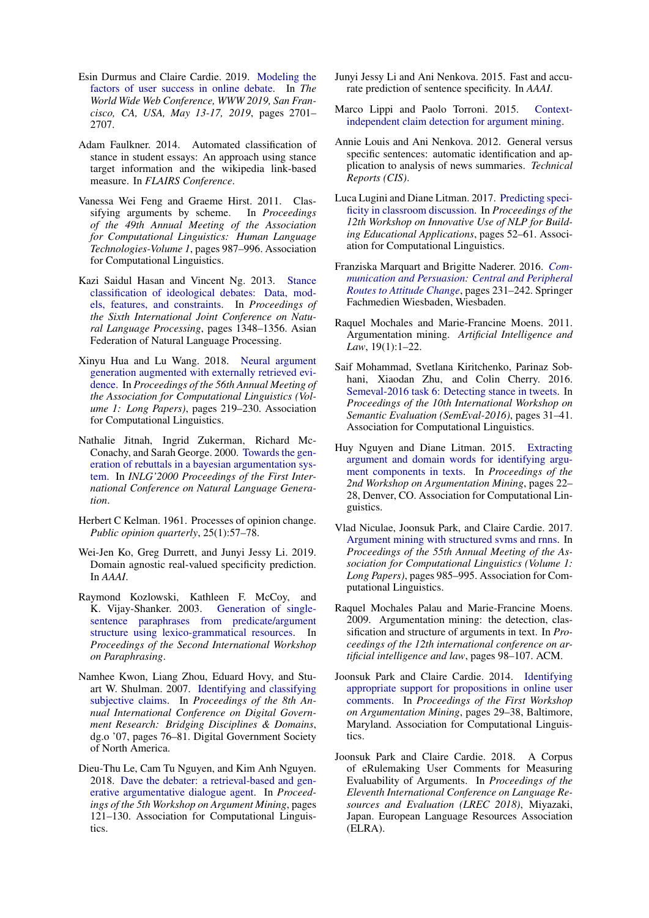- <span id="page-9-21"></span>Esin Durmus and Claire Cardie. 2019. [Modeling the](https://doi.org/10.1145/3308558.3313676) [factors of user success in online debate.](https://doi.org/10.1145/3308558.3313676) In *The World Wide Web Conference, WWW 2019, San Francisco, CA, USA, May 13-17, 2019*, pages 2701– 2707.
- <span id="page-9-0"></span>Adam Faulkner. 2014. Automated classification of stance in student essays: An approach using stance target information and the wikipedia link-based measure. In *FLAIRS Conference*.
- <span id="page-9-15"></span>Vanessa Wei Feng and Graeme Hirst. 2011. Classifying arguments by scheme. In *Proceedings of the 49th Annual Meeting of the Association for Computational Linguistics: Human Language Technologies-Volume 1*, pages 987–996. Association for Computational Linguistics.
- <span id="page-9-10"></span>Kazi Saidul Hasan and Vincent Ng. 2013. [Stance](http://aclweb.org/anthology/I13-1191) [classification of ideological debates: Data, mod](http://aclweb.org/anthology/I13-1191)[els, features, and constraints.](http://aclweb.org/anthology/I13-1191) In *Proceedings of the Sixth International Joint Conference on Natural Language Processing*, pages 1348–1356. Asian Federation of Natural Language Processing.
- <span id="page-9-9"></span>Xinyu Hua and Lu Wang. 2018. [Neural argument](http://aclweb.org/anthology/P18-1021) [generation augmented with externally retrieved evi](http://aclweb.org/anthology/P18-1021)[dence.](http://aclweb.org/anthology/P18-1021) In *Proceedings of the 56th Annual Meeting of the Association for Computational Linguistics (Volume 1: Long Papers)*, pages 219–230. Association for Computational Linguistics.
- <span id="page-9-6"></span>Nathalie Jitnah, Ingrid Zukerman, Richard Mc-Conachy, and Sarah George. 2000. [Towards the gen](http://aclweb.org/anthology/W00-1406)[eration of rebuttals in a bayesian argumentation sys](http://aclweb.org/anthology/W00-1406)[tem.](http://aclweb.org/anthology/W00-1406) In *INLG'2000 Proceedings of the First International Conference on Natural Language Generation*.
- <span id="page-9-19"></span>Herbert C Kelman. 1961. Processes of opinion change. *Public opinion quarterly*, 25(1):57–78.
- <span id="page-9-2"></span>Wei-Jen Ko, Greg Durrett, and Junyi Jessy Li. 2019. Domain agnostic real-valued specificity prediction. In *AAAI*.
- <span id="page-9-7"></span>Raymond Kozlowski, Kathleen F. McCoy, and K. Vijay-Shanker. 2003. [Generation of single](http://aclweb.org/anthology/W03-1601)[sentence paraphrases from predicate/argument](http://aclweb.org/anthology/W03-1601) [structure using lexico-grammatical resources.](http://aclweb.org/anthology/W03-1601) In *Proceedings of the Second International Workshop on Paraphrasing*.
- <span id="page-9-11"></span>Namhee Kwon, Liang Zhou, Eduard Hovy, and Stuart W. Shulman. 2007. [Identifying and classifying](http://dl.acm.org/citation.cfm?id=1248460.1248473) [subjective claims.](http://dl.acm.org/citation.cfm?id=1248460.1248473) In *Proceedings of the 8th Annual International Conference on Digital Government Research: Bridging Disciplines & Domains*, dg.o '07, pages 76–81. Digital Government Society of North America.
- <span id="page-9-8"></span>Dieu-Thu Le, Cam Tu Nguyen, and Kim Anh Nguyen. 2018. [Dave the debater: a retrieval-based and gen](http://aclweb.org/anthology/W18-5215)[erative argumentative dialogue agent.](http://aclweb.org/anthology/W18-5215) In *Proceedings of the 5th Workshop on Argument Mining*, pages 121–130. Association for Computational Linguistics.
- <span id="page-9-3"></span>Junyi Jessy Li and Ani Nenkova. 2015. Fast and accurate prediction of sentence specificity. In *AAAI*.
- <span id="page-9-16"></span>Marco Lippi and Paolo Torroni. 2015. [Context](http://www.aaai.org/ocs/index.php/IJCAI/IJCAI15/paper/view/10942)[independent claim detection for argument mining.](http://www.aaai.org/ocs/index.php/IJCAI/IJCAI15/paper/view/10942)
- <span id="page-9-1"></span>Annie Louis and Ani Nenkova. 2012. General versus specific sentences: automatic identification and application to analysis of news summaries. *Technical Reports (CIS)*.
- <span id="page-9-4"></span>Luca Lugini and Diane Litman. 2017. [Predicting speci](https://doi.org/10.18653/v1/W17-5006)[ficity in classroom discussion.](https://doi.org/10.18653/v1/W17-5006) In *Proceedings of the 12th Workshop on Innovative Use of NLP for Building Educational Applications*, pages 52–61. Association for Computational Linguistics.
- <span id="page-9-20"></span>Franziska Marquart and Brigitte Naderer. 2016. *[Com](https://doi.org/10.1007/978-3-658-09923-7_20)[munication and Persuasion: Central and Peripheral](https://doi.org/10.1007/978-3-658-09923-7_20) [Routes to Attitude Change](https://doi.org/10.1007/978-3-658-09923-7_20)*, pages 231–242. Springer Fachmedien Wiesbaden, Wiesbaden.
- <span id="page-9-12"></span>Raquel Mochales and Marie-Francine Moens. 2011. Argumentation mining. *Artificial Intelligence and Law*, 19(1):1–22.
- <span id="page-9-5"></span>Saif Mohammad, Svetlana Kiritchenko, Parinaz Sobhani, Xiaodan Zhu, and Colin Cherry. 2016. [Semeval-2016 task 6: Detecting stance in tweets.](https://doi.org/10.18653/v1/S16-1003) In *Proceedings of the 10th International Workshop on Semantic Evaluation (SemEval-2016)*, pages 31–41. Association for Computational Linguistics.
- <span id="page-9-13"></span>Huy Nguyen and Diane Litman. 2015. [Extracting](http://www.aclweb.org/anthology/W15-0503) [argument and domain words for identifying argu](http://www.aclweb.org/anthology/W15-0503)[ment components in texts.](http://www.aclweb.org/anthology/W15-0503) In *Proceedings of the 2nd Workshop on Argumentation Mining*, pages 22– 28, Denver, CO. Association for Computational Linguistics.
- <span id="page-9-18"></span>Vlad Niculae, Joonsuk Park, and Claire Cardie. 2017. [Argument mining with structured svms and rnns.](https://doi.org/10.18653/v1/P17-1091) In *Proceedings of the 55th Annual Meeting of the Association for Computational Linguistics (Volume 1: Long Papers)*, pages 985–995. Association for Computational Linguistics.
- <span id="page-9-14"></span>Raquel Mochales Palau and Marie-Francine Moens. 2009. Argumentation mining: the detection, classification and structure of arguments in text. In *Proceedings of the 12th international conference on artificial intelligence and law*, pages 98–107. ACM.
- <span id="page-9-17"></span>Joonsuk Park and Claire Cardie. 2014. [Identifying](http://www.aclweb.org/anthology/W/W14/W14-2105) [appropriate support for propositions in online user](http://www.aclweb.org/anthology/W/W14/W14-2105) [comments.](http://www.aclweb.org/anthology/W/W14/W14-2105) In *Proceedings of the First Workshop on Argumentation Mining*, pages 29–38, Baltimore, Maryland. Association for Computational Linguistics.
- <span id="page-9-22"></span>Joonsuk Park and Claire Cardie. 2018. A Corpus of eRulemaking User Comments for Measuring Evaluability of Arguments. In *Proceedings of the Eleventh International Conference on Language Resources and Evaluation (LREC 2018)*, Miyazaki, Japan. European Language Resources Association (ELRA).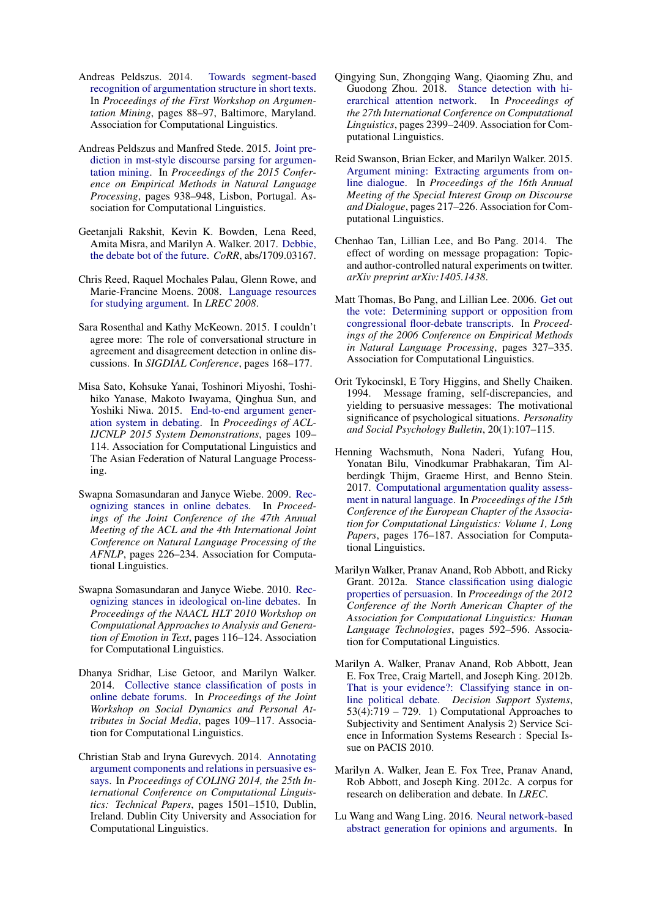- <span id="page-10-19"></span>Andreas Peldszus. 2014. [Towards segment-based](https://doi.org/10.3115/v1/W14-2112) [recognition of argumentation structure in short texts.](https://doi.org/10.3115/v1/W14-2112) In *Proceedings of the First Workshop on Argumentation Mining*, pages 88–97, Baltimore, Maryland. Association for Computational Linguistics.
- <span id="page-10-13"></span>Andreas Peldszus and Manfred Stede. 2015. [Joint pre](http://aclweb.org/anthology/D15-1110)[diction in mst-style discourse parsing for argumen](http://aclweb.org/anthology/D15-1110)[tation mining.](http://aclweb.org/anthology/D15-1110) In *Proceedings of the 2015 Conference on Empirical Methods in Natural Language Processing*, pages 938–948, Lisbon, Portugal. Association for Computational Linguistics.
- <span id="page-10-4"></span>Geetanjali Rakshit, Kevin K. Bowden, Lena Reed, Amita Misra, and Marilyn A. Walker. 2017. [Debbie,](http://arxiv.org/abs/1709.03167) [the debate bot of the future.](http://arxiv.org/abs/1709.03167) *CoRR*, abs/1709.03167.
- <span id="page-10-18"></span>Chris Reed, Raquel Mochales Palau, Glenn Rowe, and Marie-Francine Moens. 2008. [Language resources](http://www.lrec-conf.org/proceedings/lrec2008/pdf/648_paper.pdf) [for studying argument.](http://www.lrec-conf.org/proceedings/lrec2008/pdf/648_paper.pdf) In *LREC 2008*.
- <span id="page-10-14"></span>Sara Rosenthal and Kathy McKeown. 2015. I couldn't agree more: The role of conversational structure in agreement and disagreement detection in online discussions. In *SIGDIAL Conference*, pages 168–177.
- <span id="page-10-3"></span>Misa Sato, Kohsuke Yanai, Toshinori Miyoshi, Toshihiko Yanase, Makoto Iwayama, Qinghua Sun, and Yoshiki Niwa. 2015. [End-to-end argument gener](https://doi.org/10.3115/v1/P15-4019)[ation system in debating.](https://doi.org/10.3115/v1/P15-4019) In *Proceedings of ACL-IJCNLP 2015 System Demonstrations*, pages 109– 114. Association for Computational Linguistics and The Asian Federation of Natural Language Processing.
- <span id="page-10-6"></span>Swapna Somasundaran and Janyce Wiebe. 2009. [Rec](http://aclweb.org/anthology/P09-1026)[ognizing stances in online debates.](http://aclweb.org/anthology/P09-1026) In *Proceedings of the Joint Conference of the 47th Annual Meeting of the ACL and the 4th International Joint Conference on Natural Language Processing of the AFNLP*, pages 226–234. Association for Computational Linguistics.
- <span id="page-10-7"></span>Swapna Somasundaran and Janyce Wiebe. 2010. [Rec](http://aclweb.org/anthology/W10-0214)[ognizing stances in ideological on-line debates.](http://aclweb.org/anthology/W10-0214) In *Proceedings of the NAACL HLT 2010 Workshop on Computational Approaches to Analysis and Generation of Emotion in Text*, pages 116–124. Association for Computational Linguistics.
- <span id="page-10-10"></span>Dhanya Sridhar, Lise Getoor, and Marilyn Walker. 2014. [Collective stance classification of posts in](https://doi.org/10.3115/v1/W14-2715) [online debate forums.](https://doi.org/10.3115/v1/W14-2715) In *Proceedings of the Joint Workshop on Social Dynamics and Personal Attributes in Social Media*, pages 109–117. Association for Computational Linguistics.
- <span id="page-10-12"></span>Christian Stab and Iryna Gurevych. 2014. [Annotating](http://www.aclweb.org/anthology/C14-1142) [argument components and relations in persuasive es](http://www.aclweb.org/anthology/C14-1142)[says.](http://www.aclweb.org/anthology/C14-1142) In *Proceedings of COLING 2014, the 25th International Conference on Computational Linguistics: Technical Papers*, pages 1501–1510, Dublin, Ireland. Dublin City University and Association for Computational Linguistics.
- <span id="page-10-1"></span>Qingying Sun, Zhongqing Wang, Qiaoming Zhu, and Guodong Zhou. 2018. [Stance detection with hi](http://aclweb.org/anthology/C18-1203)[erarchical attention network.](http://aclweb.org/anthology/C18-1203) In *Proceedings of the 27th International Conference on Computational Linguistics*, pages 2399–2409. Association for Computational Linguistics.
- <span id="page-10-0"></span>Reid Swanson, Brian Ecker, and Marilyn Walker. 2015. [Argument mining: Extracting arguments from on](https://doi.org/10.18653/v1/W15-4631)[line dialogue.](https://doi.org/10.18653/v1/W15-4631) In *Proceedings of the 16th Annual Meeting of the Special Interest Group on Discourse and Dialogue*, pages 217–226. Association for Computational Linguistics.
- <span id="page-10-17"></span>Chenhao Tan, Lillian Lee, and Bo Pang. 2014. The effect of wording on message propagation: Topicand author-controlled natural experiments on twitter. *arXiv preprint arXiv:1405.1438*.
- <span id="page-10-11"></span>Matt Thomas, Bo Pang, and Lillian Lee. 2006. [Get out](http://aclweb.org/anthology/W06-1639) [the vote: Determining support or opposition from](http://aclweb.org/anthology/W06-1639) [congressional floor-debate transcripts.](http://aclweb.org/anthology/W06-1639) In *Proceedings of the 2006 Conference on Empirical Methods in Natural Language Processing*, pages 327–335. Association for Computational Linguistics.
- <span id="page-10-16"></span>Orit Tykocinskl, E Tory Higgins, and Shelly Chaiken. 1994. Message framing, self-discrepancies, and yielding to persuasive messages: The motivational significance of psychological situations. *Personality and Social Psychology Bulletin*, 20(1):107–115.
- <span id="page-10-15"></span>Henning Wachsmuth, Nona Naderi, Yufang Hou, Yonatan Bilu, Vinodkumar Prabhakaran, Tim Alberdingk Thijm, Graeme Hirst, and Benno Stein. 2017. [Computational argumentation quality assess](http://aclweb.org/anthology/E17-1017)[ment in natural language.](http://aclweb.org/anthology/E17-1017) In *Proceedings of the 15th Conference of the European Chapter of the Association for Computational Linguistics: Volume 1, Long Papers*, pages 176–187. Association for Computational Linguistics.
- <span id="page-10-8"></span>Marilyn Walker, Pranav Anand, Rob Abbott, and Ricky Grant. 2012a. [Stance classification using dialogic](http://aclweb.org/anthology/N12-1072) [properties of persuasion.](http://aclweb.org/anthology/N12-1072) In *Proceedings of the 2012 Conference of the North American Chapter of the Association for Computational Linguistics: Human Language Technologies*, pages 592–596. Association for Computational Linguistics.
- <span id="page-10-9"></span>Marilyn A. Walker, Pranav Anand, Rob Abbott, Jean E. Fox Tree, Craig Martell, and Joseph King. 2012b. [That is your evidence?: Classifying stance in on](https://doi.org/https://doi.org/10.1016/j.dss.2012.05.032)[line political debate.](https://doi.org/https://doi.org/10.1016/j.dss.2012.05.032) *Decision Support Systems*,  $53(4)$ :719 – 729. 1) Computational Approaches to Subjectivity and Sentiment Analysis 2) Service Science in Information Systems Research : Special Issue on PACIS 2010.
- <span id="page-10-5"></span>Marilyn A. Walker, Jean E. Fox Tree, Pranav Anand, Rob Abbott, and Joseph King. 2012c. A corpus for research on deliberation and debate. In *LREC*.
- <span id="page-10-2"></span>Lu Wang and Wang Ling. 2016. [Neural network-based](https://doi.org/10.18653/v1/N16-1007) [abstract generation for opinions and arguments.](https://doi.org/10.18653/v1/N16-1007) In